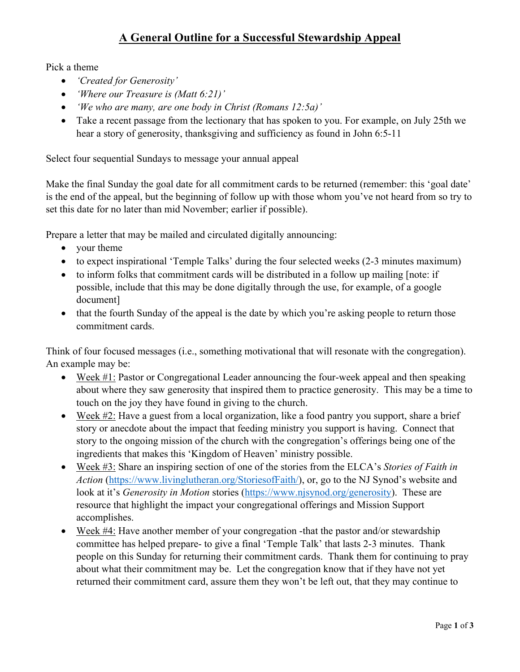## **A General Outline for a Successful Stewardship Appeal**

Pick a theme

- *'Created for Generosity'*
- *'Where our Treasure is (Matt 6:21)'*
- *'We who are many, are one body in Christ (Romans 12:5a)'*
- Take a recent passage from the lectionary that has spoken to you. For example, on July 25th we hear a story of generosity, thanksgiving and sufficiency as found in John 6:5-11

Select four sequential Sundays to message your annual appeal

Make the final Sunday the goal date for all commitment cards to be returned (remember: this 'goal date' is the end of the appeal, but the beginning of follow up with those whom you've not heard from so try to set this date for no later than mid November; earlier if possible).

Prepare a letter that may be mailed and circulated digitally announcing:

- your theme
- to expect inspirational 'Temple Talks' during the four selected weeks (2-3 minutes maximum)
- to inform folks that commitment cards will be distributed in a follow up mailing [note: if possible, include that this may be done digitally through the use, for example, of a google document]
- that the fourth Sunday of the appeal is the date by which you're asking people to return those commitment cards.

Think of four focused messages (i.e., something motivational that will resonate with the congregation). An example may be:

- Week  $\#1$ : Pastor or Congregational Leader announcing the four-week appeal and then speaking about where they saw generosity that inspired them to practice generosity. This may be a time to touch on the joy they have found in giving to the church.
- Week #2: Have a guest from a local organization, like a food pantry you support, share a brief story or anecdote about the impact that feeding ministry you support is having. Connect that story to the ongoing mission of the church with the congregation's offerings being one of the ingredients that makes this 'Kingdom of Heaven' ministry possible.
- Week #3: Share an inspiring section of one of the stories from the ELCA's *Stories of Faith in Action* (https://www.livinglutheran.org/StoriesofFaith/), or, go to the NJ Synod's website and look at it's *Generosity in Motion* stories (https://www.njsynod.org/generosity). These are resource that highlight the impact your congregational offerings and Mission Support accomplishes.
- Week #4: Have another member of your congregation -that the pastor and/or stewardship committee has helped prepare- to give a final 'Temple Talk' that lasts 2-3 minutes. Thank people on this Sunday for returning their commitment cards. Thank them for continuing to pray about what their commitment may be. Let the congregation know that if they have not yet returned their commitment card, assure them they won't be left out, that they may continue to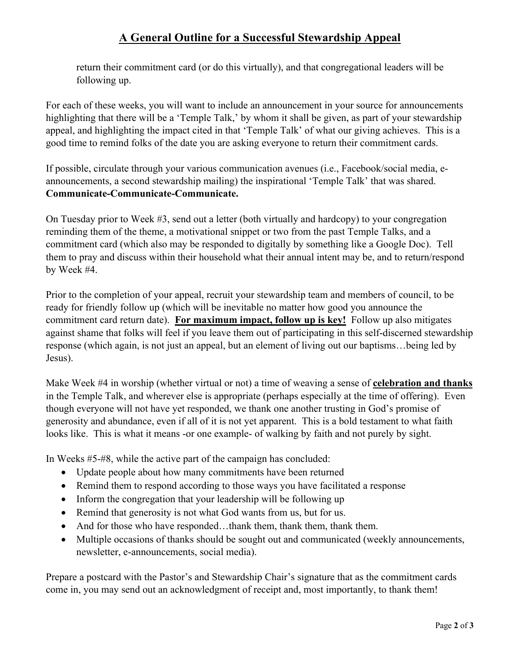## **A General Outline for a Successful Stewardship Appeal**

return their commitment card (or do this virtually), and that congregational leaders will be following up.

For each of these weeks, you will want to include an announcement in your source for announcements highlighting that there will be a 'Temple Talk,' by whom it shall be given, as part of your stewardship appeal, and highlighting the impact cited in that 'Temple Talk' of what our giving achieves. This is a good time to remind folks of the date you are asking everyone to return their commitment cards.

If possible, circulate through your various communication avenues (i.e., Facebook/social media, eannouncements, a second stewardship mailing) the inspirational 'Temple Talk' that was shared. **Communicate-Communicate-Communicate.**

On Tuesday prior to Week #3, send out a letter (both virtually and hardcopy) to your congregation reminding them of the theme, a motivational snippet or two from the past Temple Talks, and a commitment card (which also may be responded to digitally by something like a Google Doc). Tell them to pray and discuss within their household what their annual intent may be, and to return/respond by Week #4.

Prior to the completion of your appeal, recruit your stewardship team and members of council, to be ready for friendly follow up (which will be inevitable no matter how good you announce the commitment card return date). **For maximum impact, follow up is key!** Follow up also mitigates against shame that folks will feel if you leave them out of participating in this self-discerned stewardship response (which again, is not just an appeal, but an element of living out our baptisms…being led by Jesus).

Make Week #4 in worship (whether virtual or not) a time of weaving a sense of **celebration and thanks** in the Temple Talk, and wherever else is appropriate (perhaps especially at the time of offering). Even though everyone will not have yet responded, we thank one another trusting in God's promise of generosity and abundance, even if all of it is not yet apparent. This is a bold testament to what faith looks like. This is what it means -or one example- of walking by faith and not purely by sight.

In Weeks #5-#8, while the active part of the campaign has concluded:

- Update people about how many commitments have been returned
- Remind them to respond according to those ways you have facilitated a response
- Inform the congregation that your leadership will be following up
- Remind that generosity is not what God wants from us, but for us.
- And for those who have responded...thank them, thank them, thank them.
- Multiple occasions of thanks should be sought out and communicated (weekly announcements, newsletter, e-announcements, social media).

Prepare a postcard with the Pastor's and Stewardship Chair's signature that as the commitment cards come in, you may send out an acknowledgment of receipt and, most importantly, to thank them!